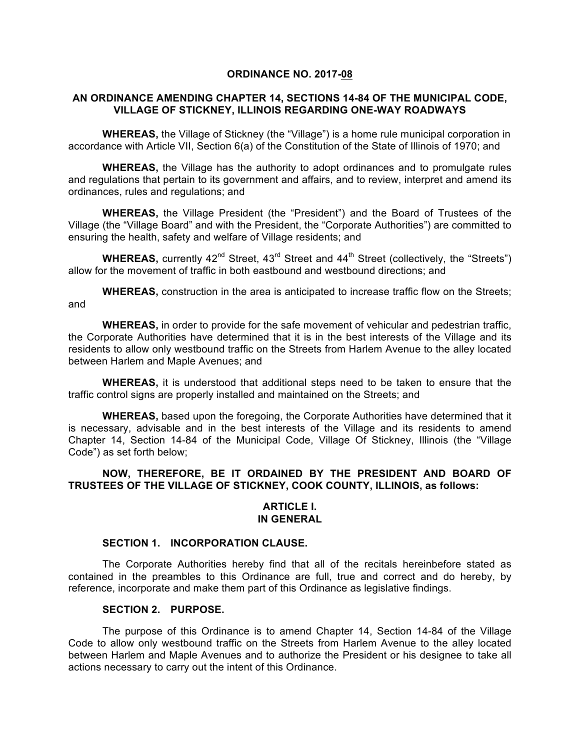### **ORDINANCE NO. 2017-08**

## **AN ORDINANCE AMENDING CHAPTER 14, SECTIONS 14-84 OF THE MUNICIPAL CODE, VILLAGE OF STICKNEY, ILLINOIS REGARDING ONE-WAY ROADWAYS**

**WHEREAS,** the Village of Stickney (the "Village") is a home rule municipal corporation in accordance with Article VII, Section 6(a) of the Constitution of the State of Illinois of 1970; and

**WHEREAS,** the Village has the authority to adopt ordinances and to promulgate rules and regulations that pertain to its government and affairs, and to review, interpret and amend its ordinances, rules and regulations; and

**WHEREAS,** the Village President (the "President") and the Board of Trustees of the Village (the "Village Board" and with the President, the "Corporate Authorities") are committed to ensuring the health, safety and welfare of Village residents; and

**WHEREAS,** currently  $42^{nd}$  Street,  $43^{rd}$  Street and  $44^{th}$  Street (collectively, the "Streets") allow for the movement of traffic in both eastbound and westbound directions; and

**WHEREAS,** construction in the area is anticipated to increase traffic flow on the Streets; and

**WHEREAS,** in order to provide for the safe movement of vehicular and pedestrian traffic, the Corporate Authorities have determined that it is in the best interests of the Village and its residents to allow only westbound traffic on the Streets from Harlem Avenue to the alley located between Harlem and Maple Avenues; and

**WHEREAS,** it is understood that additional steps need to be taken to ensure that the traffic control signs are properly installed and maintained on the Streets; and

**WHEREAS,** based upon the foregoing, the Corporate Authorities have determined that it is necessary, advisable and in the best interests of the Village and its residents to amend Chapter 14, Section 14-84 of the Municipal Code, Village Of Stickney, Illinois (the "Village Code") as set forth below;

# **NOW, THEREFORE, BE IT ORDAINED BY THE PRESIDENT AND BOARD OF TRUSTEES OF THE VILLAGE OF STICKNEY, COOK COUNTY, ILLINOIS, as follows:**

#### **ARTICLE I. IN GENERAL**

#### **SECTION 1. INCORPORATION CLAUSE.**

The Corporate Authorities hereby find that all of the recitals hereinbefore stated as contained in the preambles to this Ordinance are full, true and correct and do hereby, by reference, incorporate and make them part of this Ordinance as legislative findings.

## **SECTION 2. PURPOSE.**

The purpose of this Ordinance is to amend Chapter 14, Section 14-84 of the Village Code to allow only westbound traffic on the Streets from Harlem Avenue to the alley located between Harlem and Maple Avenues and to authorize the President or his designee to take all actions necessary to carry out the intent of this Ordinance.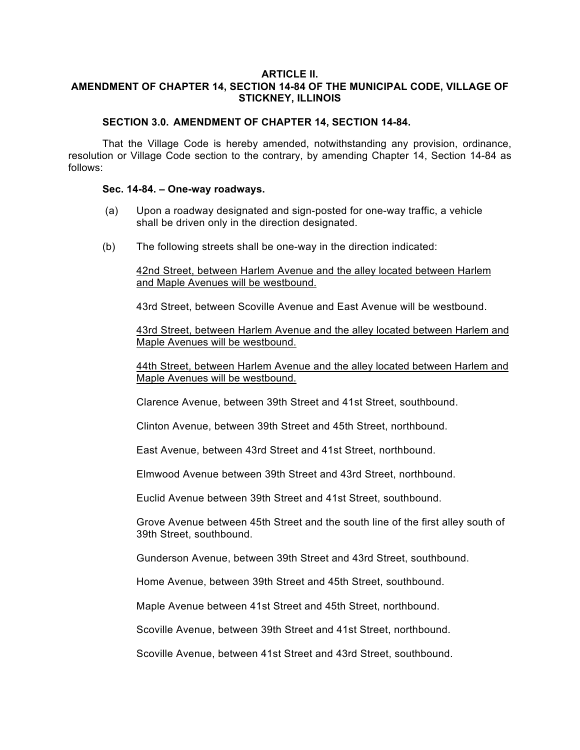### **ARTICLE II. AMENDMENT OF CHAPTER 14, SECTION 14-84 OF THE MUNICIPAL CODE, VILLAGE OF STICKNEY, ILLINOIS**

## **SECTION 3.0. AMENDMENT OF CHAPTER 14, SECTION 14-84.**

That the Village Code is hereby amended, notwithstanding any provision, ordinance, resolution or Village Code section to the contrary, by amending Chapter 14, Section 14-84 as follows:

#### **Sec. 14-84. – One-way roadways.**

- (a) Upon a roadway designated and sign-posted for one-way traffic, a vehicle shall be driven only in the direction designated.
- (b) The following streets shall be one-way in the direction indicated:

42nd Street, between Harlem Avenue and the alley located between Harlem and Maple Avenues will be westbound.

43rd Street, between Scoville Avenue and East Avenue will be westbound.

43rd Street, between Harlem Avenue and the alley located between Harlem and Maple Avenues will be westbound.

44th Street, between Harlem Avenue and the alley located between Harlem and Maple Avenues will be westbound.

Clarence Avenue, between 39th Street and 41st Street, southbound.

Clinton Avenue, between 39th Street and 45th Street, northbound.

East Avenue, between 43rd Street and 41st Street, northbound.

Elmwood Avenue between 39th Street and 43rd Street, northbound.

Euclid Avenue between 39th Street and 41st Street, southbound.

Grove Avenue between 45th Street and the south line of the first alley south of 39th Street, southbound.

Gunderson Avenue, between 39th Street and 43rd Street, southbound.

Home Avenue, between 39th Street and 45th Street, southbound.

Maple Avenue between 41st Street and 45th Street, northbound.

Scoville Avenue, between 39th Street and 41st Street, northbound.

Scoville Avenue, between 41st Street and 43rd Street, southbound.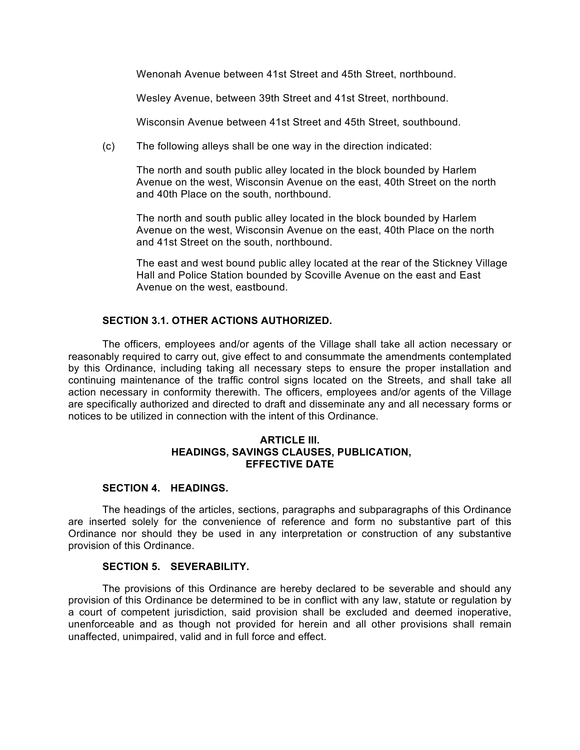Wenonah Avenue between 41st Street and 45th Street, northbound.

Wesley Avenue, between 39th Street and 41st Street, northbound.

Wisconsin Avenue between 41st Street and 45th Street, southbound.

(c) The following alleys shall be one way in the direction indicated:

The north and south public alley located in the block bounded by Harlem Avenue on the west, Wisconsin Avenue on the east, 40th Street on the north and 40th Place on the south, northbound.

The north and south public alley located in the block bounded by Harlem Avenue on the west, Wisconsin Avenue on the east, 40th Place on the north and 41st Street on the south, northbound.

The east and west bound public alley located at the rear of the Stickney Village Hall and Police Station bounded by Scoville Avenue on the east and East Avenue on the west, eastbound.

## **SECTION 3.1. OTHER ACTIONS AUTHORIZED.**

The officers, employees and/or agents of the Village shall take all action necessary or reasonably required to carry out, give effect to and consummate the amendments contemplated by this Ordinance, including taking all necessary steps to ensure the proper installation and continuing maintenance of the traffic control signs located on the Streets, and shall take all action necessary in conformity therewith. The officers, employees and/or agents of the Village are specifically authorized and directed to draft and disseminate any and all necessary forms or notices to be utilized in connection with the intent of this Ordinance.

### **ARTICLE III. HEADINGS, SAVINGS CLAUSES, PUBLICATION, EFFECTIVE DATE**

### **SECTION 4. HEADINGS.**

The headings of the articles, sections, paragraphs and subparagraphs of this Ordinance are inserted solely for the convenience of reference and form no substantive part of this Ordinance nor should they be used in any interpretation or construction of any substantive provision of this Ordinance.

#### **SECTION 5. SEVERABILITY.**

The provisions of this Ordinance are hereby declared to be severable and should any provision of this Ordinance be determined to be in conflict with any law, statute or regulation by a court of competent jurisdiction, said provision shall be excluded and deemed inoperative, unenforceable and as though not provided for herein and all other provisions shall remain unaffected, unimpaired, valid and in full force and effect.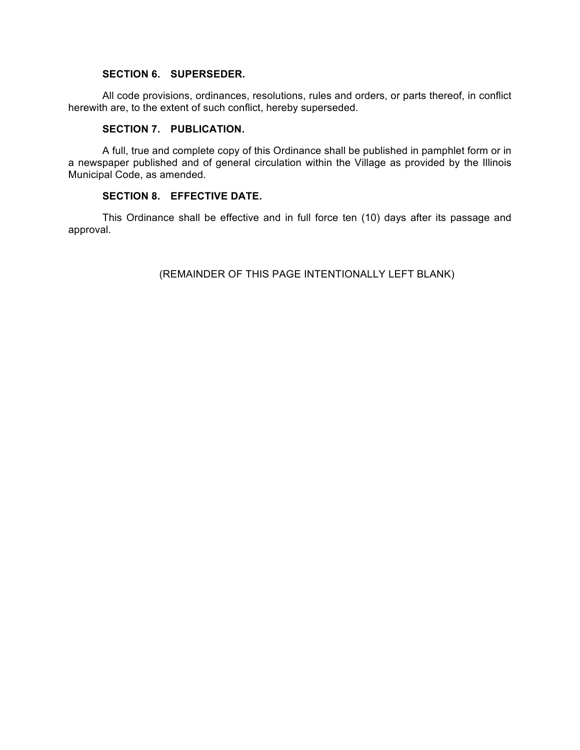# **SECTION 6. SUPERSEDER.**

All code provisions, ordinances, resolutions, rules and orders, or parts thereof, in conflict herewith are, to the extent of such conflict, hereby superseded.

## **SECTION 7. PUBLICATION.**

A full, true and complete copy of this Ordinance shall be published in pamphlet form or in a newspaper published and of general circulation within the Village as provided by the Illinois Municipal Code, as amended.

## **SECTION 8. EFFECTIVE DATE.**

This Ordinance shall be effective and in full force ten (10) days after its passage and approval.

(REMAINDER OF THIS PAGE INTENTIONALLY LEFT BLANK)